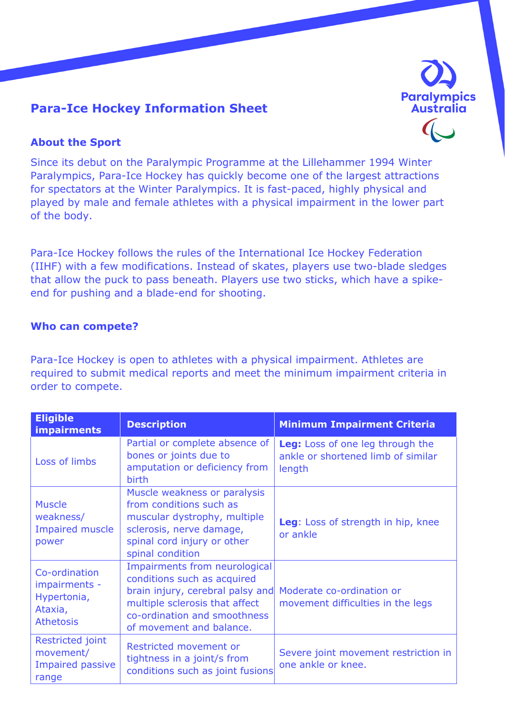

# **Para-Ice Hockey Information Sheet**

## **About the Sport**

Since its debut on the Paralympic Programme at the Lillehammer 1994 Winter Paralympics, Para-Ice Hockey has quickly become one of the largest attractions for spectators at the Winter Paralympics. It is fast-paced, highly physical and played by male and female athletes with a physical impairment in the lower part of the body.

Para-Ice Hockey follows the rules of the International Ice Hockey Federation (IIHF) with a few modifications. Instead of skates, players use two-blade sledges that allow the puck to pass beneath. Players use two sticks, which have a spikeend for pushing and a blade-end for shooting.

#### **Who can compete?**

Para-Ice Hockey is open to athletes with a physical impairment. Athletes are required to submit medical reports and meet the minimum impairment criteria in order to compete.

| <b>Eligible</b><br>impairments                                               | <b>Description</b>                                                                                                                                                                             | <b>Minimum Impairment Criteria</b>                                               |
|------------------------------------------------------------------------------|------------------------------------------------------------------------------------------------------------------------------------------------------------------------------------------------|----------------------------------------------------------------------------------|
| Loss of limbs                                                                | Partial or complete absence of<br>bones or joints due to<br>amputation or deficiency from<br>birth                                                                                             | Leg: Loss of one leg through the<br>ankle or shortened limb of similar<br>length |
| <b>Muscle</b><br>weakness/<br><b>Impaired muscle</b><br>power                | Muscle weakness or paralysis<br>from conditions such as<br>muscular dystrophy, multiple<br>sclerosis, nerve damage,<br>spinal cord injury or other<br>spinal condition                         | Leg: Loss of strength in hip, knee<br>or ankle                                   |
| Co-ordination<br>impairments -<br>Hypertonia,<br>Ataxia,<br><b>Athetosis</b> | Impairments from neurological<br>conditions such as acquired<br>brain injury, cerebral palsy and<br>multiple sclerosis that affect<br>co-ordination and smoothness<br>of movement and balance. | Moderate co-ordination or<br>movement difficulties in the legs                   |
| Restricted joint<br>movement/<br><b>Impaired passive</b><br>range            | Restricted movement or<br>tightness in a joint/s from<br>conditions such as joint fusions                                                                                                      | Severe joint movement restriction in<br>one ankle or knee.                       |